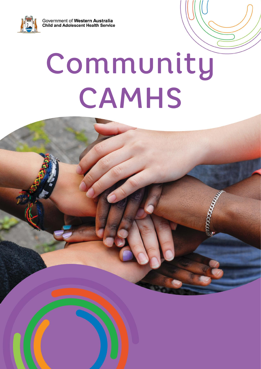Government of Western Australia **Child and Adolescent Health Service** 



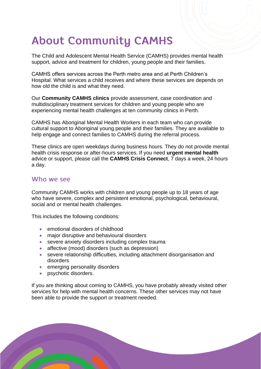# **About Community CAMHS**

The Child and Adolescent Mental Health Service (CAMHS) provides mental health support, advice and treatment for children, young people and their families.

CAMHS offers services across the Perth metro area and at Perth Children's Hospital. What services a child receives and where these services are depends on how old the child is and what they need.

Our **Community CAMHS clinics** provide assessment, case coordination and multidisciplinary treatment services for children and young people who are experiencing mental health challenges at ten community clinics in Perth.

CAMHS has Aboriginal Mental Health Workers in each team who can provide cultural support to Aboriginal young people and their families. They are available to help engage and connect families to CAMHS during the referral process.

These clinics are open weekdays during business hours. They do not provide mental health crisis response or after-hours services. If you need **urgent mental health** advice or support, please call the **CAMHS Crisis Connect**, 7 days a week, 24 hours a day.

#### Who we see

Community CAMHS works with children and young people up to 18 years of age who have severe, complex and persistent emotional, psychological, behavioural, social and or mental health challenges.

This includes the following conditions:

- emotional disorders of childhood
- major disruptive and behavioural disorders
- severe anxiety disorders including complex trauma
- affective (mood) disorders (such as depression)
- severe relationship difficulties, including attachment disorganisation and disorders
- emerging personality disorders
- psychotic disorders.

If you are thinking about coming to CAMHS, you have probably already visited other services for help with mental health concerns. These other services may not have been able to provide the support or treatment needed.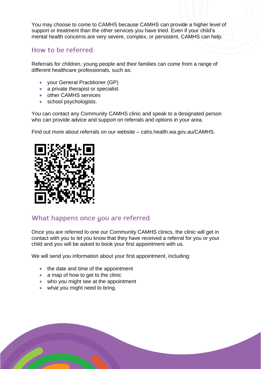You may choose to come to CAMHS because CAMHS can provide a higher level of support or treatment than the other services you have tried. Even if your child's mental health concerns are very severe, complex, or persistent, CAMHS can help.

#### How to be referred

Referrals for children, young people and their families can come from a range of different healthcare professionals, such as:

- your General Practitioner (GP)
- a private therapist or specialist
- other CAMHS services
- school psychologists.

You can contact any Community CAMHS clinic and speak to a designated person who can provide advice and support on referrals and options in your area.

Find out more about referrals on our website – cahs.health.wa.gov.au/CAMHS.



#### What happens once you are referred

Once you are referred to one our Community CAMHS clinics, the clinic will get in contact with you to let you know that they have received a referral for you or your child and you will be asked to book your first appointment with us.

We will send you information about your first appointment, including:

- the date and time of the appointment
- a map of how to get to the clinic
- who you might see at the appointment
- what you might need to bring.

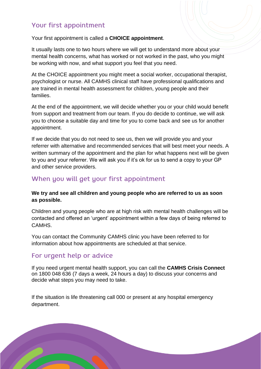## Your first appointment

Your first appointment is called a **CHOICE appointment**.

It usually lasts one to two hours where we will get to understand more about your mental health concerns, what has worked or not worked in the past, who you might be working with now, and what support you feel that you need.

At the CHOICE appointment you might meet a social worker, occupational therapist, psychologist or nurse. All CAMHS clinical staff have professional qualifications and are trained in mental health assessment for children, young people and their families.

At the end of the appointment, we will decide whether you or your child would benefit from support and treatment from our team. If you do decide to continue, we will ask you to choose a suitable day and time for you to come back and see us for another appointment.

If we decide that you do not need to see us, then we will provide you and your referrer with alternative and recommended services that will best meet your needs. A written summary of the appointment and the plan for what happens next will be given to you and your referrer. We will ask you if it's ok for us to send a copy to your GP and other service providers.

# When you will get your first appointment

#### **We try and see all children and young people who are referred to us as soon as possible.**

Children and young people who are at high risk with mental health challenges will be contacted and offered an 'urgent' appointment within a few days of being referred to CAMHS.

You can contact the Community CAMHS clinic you have been referred to for information about how appointments are scheduled at that service.

# For urgent help or advice

If you need urgent mental health support, you can call the **CAMHS Crisis Connect** on 1800 048 636 (7 days a week, 24 hours a day) to discuss your concerns and decide what steps you may need to take.

If the situation is life threatening call 000 or present at any hospital emergency department.